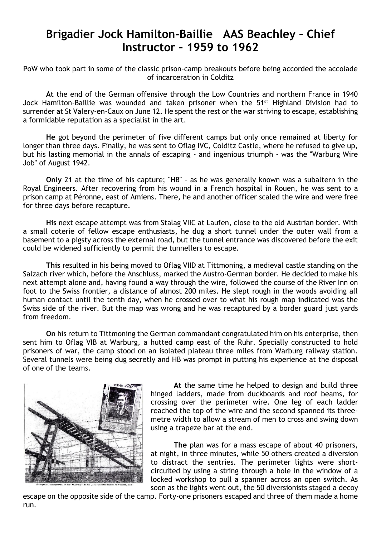## **Brigadier Jock Hamilton-Baillie AAS Beachley – Chief Instructor – 1959 to 1962**

PoW who took part in some of the classic prison-camp breakouts before being accorded the accolade of incarceration in Colditz

**At** the end of the German offensive through the Low Countries and northern France in 1940 Jock Hamilton-Baillie was wounded and taken prisoner when the 51st Highland Division had to surrender at St Valery-en-Caux on June 12. He spent the rest or the war striving to escape, establishing a formidable reputation as a specialist in the art.

**He** got beyond the perimeter of five different camps but only once remained at liberty for longer than three days. Finally, he was sent to Oflag IVC, Colditz Castle, where he refused to give up, but his lasting memorial in the annals of escaping - and ingenious triumph - was the "Warburg Wire Job" of August 1942.

**Only** 21 at the time of his capture; "HB" - as he was generally known was a subaltern in the Royal Engineers. After recovering from his wound in a French hospital in Rouen, he was sent to a prison camp at Péronne, east of Amiens. There, he and another officer scaled the wire and were free for three days before recapture.

**His** next escape attempt was from Stalag VIIC at Laufen, close to the old Austrian border. With a small coterie of fellow escape enthusiasts, he dug a short tunnel under the outer wall from a basement to a pigsty across the external road, but the tunnel entrance was discovered before the exit could be widened sufficiently to permit the tunnellers to escape.

**This** resulted in his being moved to Oflag VIID at Tittmoning, a medieval castle standing on the Salzach river which, before the Anschluss, marked the Austro-German border. He decided to make his next attempt alone and, having found a way through the wire, followed the course of the River Inn on foot to the Swiss frontier, a distance of almost 200 miles. He slept rough in the woods avoiding all human contact until the tenth day, when he crossed over to what his rough map indicated was the Swiss side of the river. But the map was wrong and he was recaptured by a border guard just yards from freedom.

**On** his return to Tittmoning the German commandant congratulated him on his enterprise, then sent him to Oflag VIB at Warburg, a hutted camp east of the Ruhr. Specially constructed to hold prisoners of war, the camp stood on an isolated plateau three miles from Warburg railway station. Several tunnels were being dug secretly and HB was prompt in putting his experience at the disposal of one of the teams.



**At** the same time he helped to design and build three hinged ladders, made from duckboards and roof beams, for crossing over the perimeter wire. One leg of each ladder reached the top of the wire and the second spanned its threemetre width to allow a stream of men to cross and swing down using a trapeze bar at the end.

**The** plan was for a mass escape of about 40 prisoners, at night, in three minutes, while 50 others created a diversion to distract the sentries. The perimeter lights were shortcircuited by using a string through a hole in the window of a locked workshop to pull a spanner across an open switch. As soon as the lights went out, the 50 diversionists staged a decoy

escape on the opposite side of the camp. Forty-one prisoners escaped and three of them made a home run.